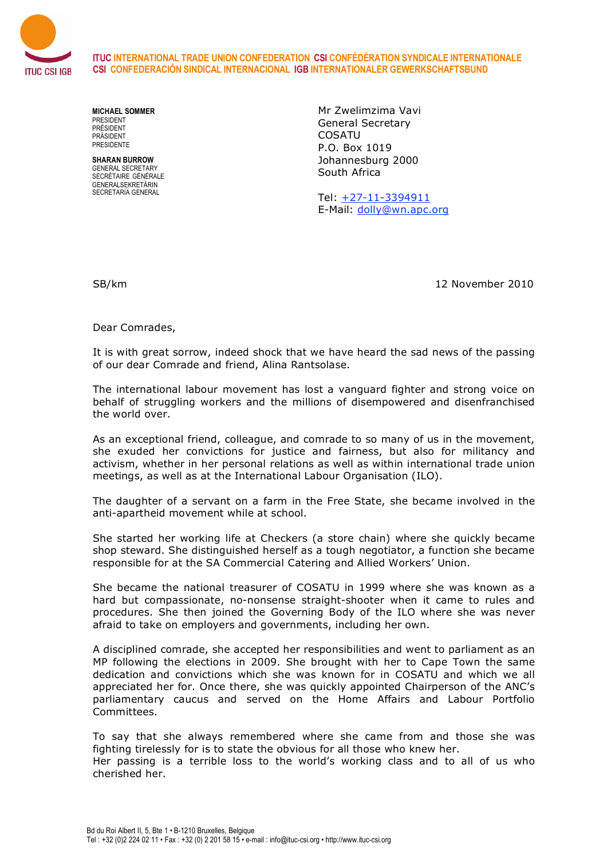

**ITUC INTERNATIONAL TRADE UNION CONFEDERATION CSI CONFÉDÉRATION SYNDICALE INTERNATIONALE CSI CONFEDERACIÓN SINDICAL INTERNACIONAL IGB INTERNATIONALER GEWERKSCHAFTSBUND**

**MICHAEL SOMMER** PRESIDENT PRÉSIDENT PRÄSIDENT **PRESIDENTE** 

**SHARAN BURROW** GENERAL SECRETARY SECRÉTAIRE GÉNÉRALE GENERALSEKRETÄRIN SECRETARIA GENERAL

Mr Zwelimzima Vavi General Secretary COSATU P.O. Box 1019 Johannesburg 2000 South Africa

Tel: +27-11-3394911 E-Mail: dolly@wn.apc.org

SB/km 12 November 2010

Dear Comrades,

It is with great sorrow, indeed shock that we have heard the sad news of the passing of our dear Comrade and friend, Alina Rantsolase.

The international labour movement has lost a vanguard fighter and strong voice on behalf of struggling workers and the millions of disempowered and disenfranchised the world over.

As an exceptional friend, colleague, and comrade to so many of us in the movement, she exuded her convictions for justice and fairness, but also for militancy and activism, whether in her personal relations as well as within international trade union meetings, as well as at the International Labour Organisation (ILO).

The daughter of a servant on a farm in the Free State, she became involved in the anti-apartheid movement while at school.

She started her working life at Checkers (a store chain) where she quickly became shop steward. She distinguished herself as a tough negotiator, a function she became responsible for at the SA Commercial Catering and Allied Workers' Union.

She became the national treasurer of COSATU in 1999 where she was known as a hard but compassionate, no-nonsense straight-shooter when it came to rules and procedures. She then joined the Governing Body of the ILO where she was never afraid to take on employers and governments, including her own.

A disciplined comrade, she accepted her responsibilities and went to parliament as an MP following the elections in 2009. She brought with her to Cape Town the same dedication and convictions which she was known for in COSATU and which we all appreciated her for. Once there, she was quickly appointed Chairperson of the ANC's parliamentary caucus and served on the Home Affairs and Labour Portfolio Committees.

To say that she always remembered where she came from and those she was fighting tirelessly for is to state the obvious for all those who knew her.

Her passing is a terrible loss to the world's working class and to all of us who cherished her.